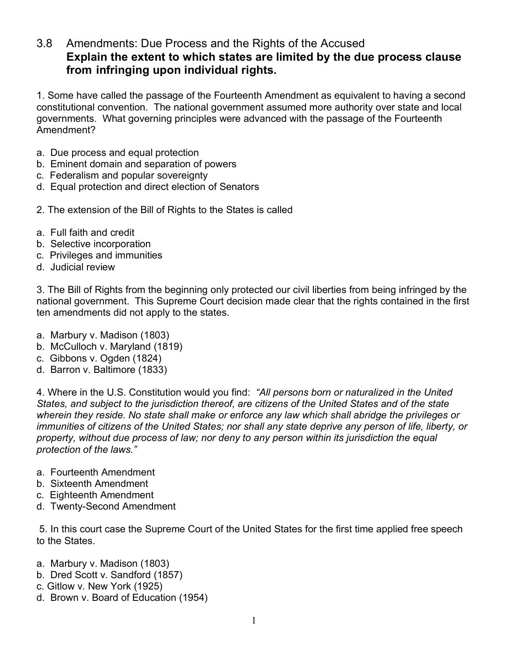## 3.8 Amendments: Due Process and the Rights of the Accused **Explain the extent to which states are limited by the due process clause from infringing upon individual rights.**

1. Some have called the passage of the Fourteenth Amendment as equivalent to having a second constitutional convention. The national government assumed more authority over state and local governments. What governing principles were advanced with the passage of the Fourteenth Amendment?

- a. Due process and equal protection
- b. Eminent domain and separation of powers
- c. Federalism and popular sovereignty
- d. Equal protection and direct election of Senators
- 2. The extension of the Bill of Rights to the States is called
- a. Full faith and credit
- b. Selective incorporation
- c. Privileges and immunities
- d. Judicial review

3. The Bill of Rights from the beginning only protected our civil liberties from being infringed by the national government. This Supreme Court decision made clear that the rights contained in the first ten amendments did not apply to the states.

- a. Marbury v. Madison (1803)
- b. McCulloch v. Maryland (1819)
- c. Gibbons v. Ogden (1824)
- d. Barron v. Baltimore (1833)

4. Where in the U.S. Constitution would you find: *"All persons born or naturalized in the United States, and subject to the jurisdiction thereof, are citizens of the United States and of the state wherein they reside. No state shall make or enforce any law which shall abridge the privileges or immunities of citizens of the United States; nor shall any state deprive any person of life, liberty, or property, without due process of law; nor deny to any person within its jurisdiction the equal protection of the laws."*

- a. Fourteenth Amendment
- b. Sixteenth Amendment
- c. Eighteenth Amendment
- d. Twenty-Second Amendment

5. In this court case the Supreme Court of the United States for the first time applied free speech to the States.

- a. Marbury v. Madison (1803)
- b. Dred Scott v. Sandford (1857)
- c. Gitlow v. New York (1925)
- d. Brown v. Board of Education (1954)